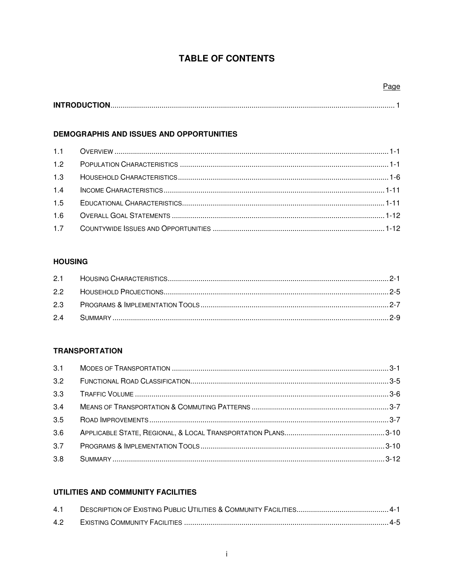# **TABLE OF CONTENTS**

## DEMOGRAPHIS AND ISSUES AND OPPORTUNITIES

| 1.2 |  |
|-----|--|
| 1.3 |  |
| 1.4 |  |
| 1.5 |  |
| 1.6 |  |
| 1.7 |  |

#### **HOUSING**

#### **TRANSPORTATION**

| 3.1 |  |
|-----|--|
| 3.2 |  |
| 3.3 |  |
| 3.4 |  |
| 3.5 |  |
| 3.6 |  |
| 3.7 |  |
| 3.8 |  |

## UTILITIES AND COMMUNITY FACILITIES

| 4.2 |  |
|-----|--|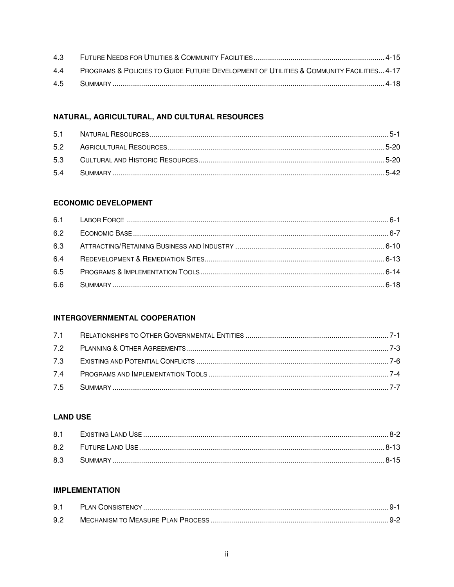| 4.3 |                                                                                                         |  |
|-----|---------------------------------------------------------------------------------------------------------|--|
| 44  | <b>PROGRAMS &amp; POLICIES TO GUIDE FUTURE DEVELOPMENT OF UTILITIES &amp; COMMUNITY FACILITIES 4-17</b> |  |
| 4.5 |                                                                                                         |  |

# NATURAL, AGRICULTURAL, AND CULTURAL RESOURCES

## **ECONOMIC DEVELOPMENT**

| 6.4 |  |
|-----|--|
| 6.5 |  |
|     |  |

#### **INTERGOVERNMENTAL COOPERATION**

# **LAND USE**

| 8.1 |  |
|-----|--|
| 8.2 |  |
| 8.3 |  |

#### **IMPLEMENTATION**

| 9.1 |  |
|-----|--|
| 9.2 |  |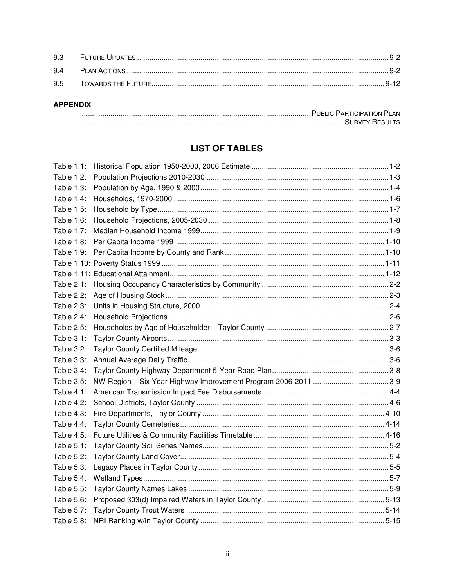#### **APPENDIX**

| . PUBLIC PARTICIPATION PLAN |
|-----------------------------|
|                             |

# **LIST OF TABLES**

| Table 1.1:        |  |
|-------------------|--|
| Table 1.2:        |  |
| Table 1.3:        |  |
| Table 1.4:        |  |
| Table 1.5:        |  |
| Table 1.6:        |  |
| <b>Table 1.7:</b> |  |
| Table $1.8$ :     |  |
| Table 1.9:        |  |
|                   |  |
|                   |  |
| Table 2.1:        |  |
| Table 2.2:        |  |
| <b>Table 2.3:</b> |  |
| Table 2.4:        |  |
| Table 2.5:        |  |
| Table 3.1:        |  |
| Table 3.2:        |  |
| Table 3.3:        |  |
| Table 3.4:        |  |
| Table 3.5:        |  |
| Table $4.1$ :     |  |
| Table 4.2:        |  |
| Table 4.3:        |  |
| Table 4.4:        |  |
| Table 4.5:        |  |
| Table 5.1:        |  |
| Table 5.2:        |  |
| Table 5.3:        |  |
| Table 5.4:        |  |
| Table 5.5:        |  |
| Table 5.6:        |  |
| Table 5.7:        |  |
| Table 5.8:        |  |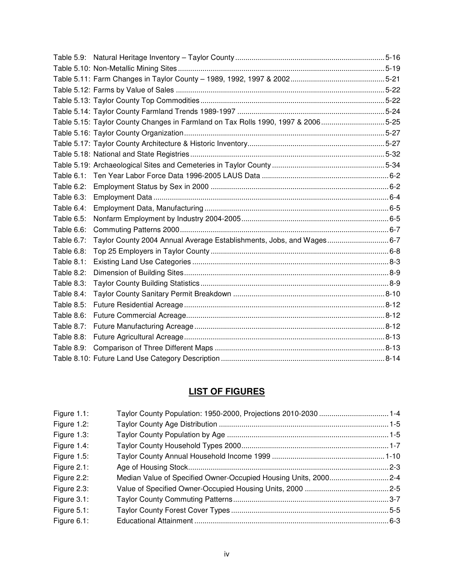|                   | Table 5.15: Taylor County Changes in Farmland on Tax Rolls 1990, 1997 & 20065-25 |  |
|-------------------|----------------------------------------------------------------------------------|--|
|                   |                                                                                  |  |
|                   |                                                                                  |  |
|                   |                                                                                  |  |
|                   |                                                                                  |  |
|                   |                                                                                  |  |
| Table 6.2:        |                                                                                  |  |
| Table 6.3:        |                                                                                  |  |
| Table 6.4:        |                                                                                  |  |
| Table 6.5:        |                                                                                  |  |
| Table 6.6:        |                                                                                  |  |
| Table 6.7:        | Taylor County 2004 Annual Average Establishments, Jobs, and Wages6-7             |  |
| Table 6.8:        |                                                                                  |  |
| Table 8.1:        |                                                                                  |  |
| <b>Table 8.2:</b> |                                                                                  |  |
| Table 8.3:        |                                                                                  |  |
| Table 8.4:        |                                                                                  |  |
| Table 8.5:        |                                                                                  |  |
| Table 8.6:        |                                                                                  |  |
| Table 8.7:        |                                                                                  |  |
| Table 8.8:        |                                                                                  |  |
| Table 8.9:        |                                                                                  |  |
|                   |                                                                                  |  |

# **LIST OF FIGURES**

| Figure 1.1:    | Taylor County Population: 1950-2000, Projections 2010-2030  1-4 |  |
|----------------|-----------------------------------------------------------------|--|
| Figure 1.2:    |                                                                 |  |
| Figure 1.3:    |                                                                 |  |
| Figure 1.4:    |                                                                 |  |
| Figure 1.5:    |                                                                 |  |
| Figure 2.1:    |                                                                 |  |
| Figure 2.2:    |                                                                 |  |
| Figure 2.3:    |                                                                 |  |
| Figure $3.1$ : |                                                                 |  |
| Figure $5.1$ : |                                                                 |  |
| Figure 6.1:    |                                                                 |  |